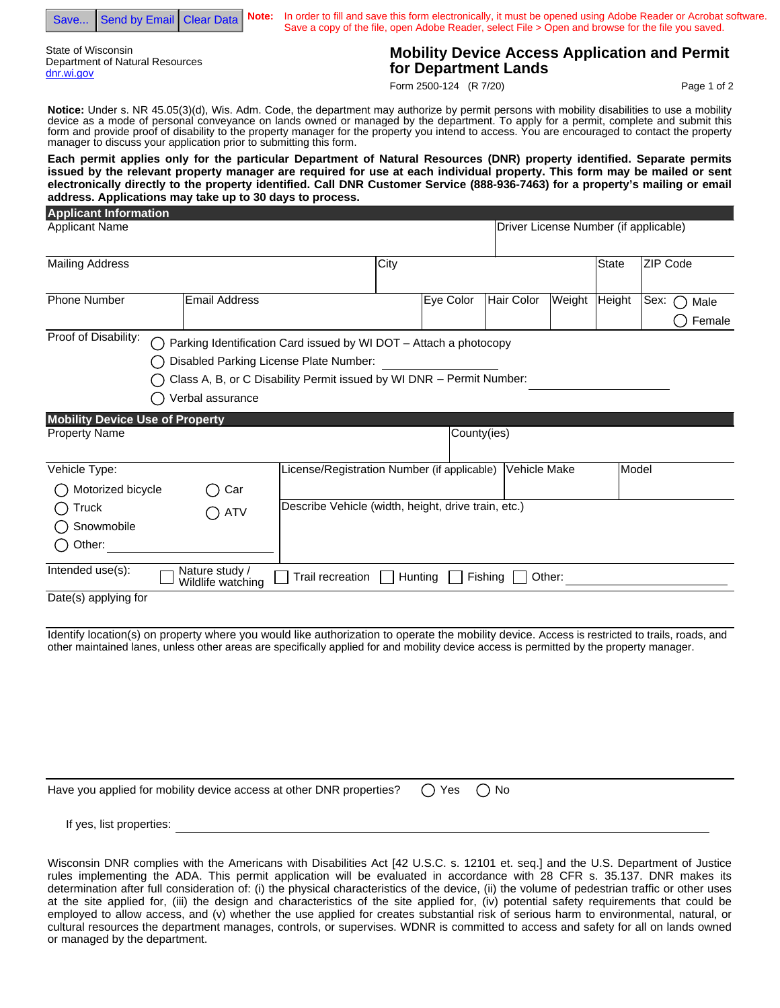Save... Send by Email Clear Data

State of Wisconsin Department of Natural Resources dnr.wi.gov

If yes, list properties:

**Note:** In order to fill and save this form electronically, it must be opened using Adobe Reader or Acrobat software. Save a copy of the file, open Adobe Reader, select File > Open and browse for the file you saved.

## **Mobility Device Access Application and Permit for Department Lands**

Form 2500-124 (R 7/20)

Page 1 of 2

**Notice:** Under s. NR 45.05(3)(d), Wis. Adm. Code, the department may authorize by permit persons with mobility disabilities to use a mobility device as a mode of personal conveyance on lands owned or managed by the department. To apply for a permit, complete and submit this form and provide proof of disability to the property manager for the property you intend to access. You are encouraged to contact the property manager to discuss your application prior to submitting this form.

**Each permit applies only for the particular Department of Natural Resources (DNR) property identified. Separate permits issued by the relevant property manager are required for use at each individual property. This form may be mailed or sent electronically directly to the property identified. Call DNR Customer Service (888-936-7463) for a property's mailing or email address. Applications may take up to 30 days to process.**

| <b>Applicant Information</b>           |                                                                                                                                                                                                         |                                                     |      |             |                                       |        |        |                   |
|----------------------------------------|---------------------------------------------------------------------------------------------------------------------------------------------------------------------------------------------------------|-----------------------------------------------------|------|-------------|---------------------------------------|--------|--------|-------------------|
| <b>Applicant Name</b>                  |                                                                                                                                                                                                         |                                                     |      |             | Driver License Number (if applicable) |        |        |                   |
| <b>Mailing Address</b>                 |                                                                                                                                                                                                         |                                                     | City |             |                                       |        | State  | <b>ZIP Code</b>   |
| <b>Phone Number</b>                    | <b>Email Address</b>                                                                                                                                                                                    |                                                     |      | Eye Color   | Hair Color                            | Weight | Height | Sex:<br>Ω<br>Male |
|                                        |                                                                                                                                                                                                         |                                                     |      |             |                                       |        |        | Female            |
| Proof of Disability:                   | Parking Identification Card issued by WI DOT - Attach a photocopy<br>Disabled Parking License Plate Number:<br>Class A, B, or C Disability Permit issued by WI DNR - Permit Number:<br>Verbal assurance |                                                     |      |             |                                       |        |        |                   |
| <b>Mobility Device Use of Property</b> |                                                                                                                                                                                                         |                                                     |      |             |                                       |        |        |                   |
| <b>Property Name</b>                   |                                                                                                                                                                                                         |                                                     |      | County(ies) |                                       |        |        |                   |
| Vehicle Type:                          |                                                                                                                                                                                                         | License/Registration Number (if applicable)         |      |             | Vehicle Make                          |        | Model  |                   |
| Motorized bicycle                      | Car                                                                                                                                                                                                     |                                                     |      |             |                                       |        |        |                   |
| Truck                                  | <b>ATV</b>                                                                                                                                                                                              | Describe Vehicle (width, height, drive train, etc.) |      |             |                                       |        |        |                   |
| Snowmobile                             |                                                                                                                                                                                                         |                                                     |      |             |                                       |        |        |                   |
| Other:                                 |                                                                                                                                                                                                         |                                                     |      |             |                                       |        |        |                   |
| Intended use(s):                       | Nature study /<br>Wildlife watching                                                                                                                                                                     | Trail recreation                                    |      | Hunting     | Fishing                               | Other: |        |                   |
| Date(s) applying for                   |                                                                                                                                                                                                         |                                                     |      |             |                                       |        |        |                   |

Identify location(s) on property where you would like authorization to operate the mobility device. Access is restricted to trails, roads, and other maintained lanes, unless other areas are specifically applied for and mobility device access is permitted by the property manager.

| Have you applied for mobility device access at other DNR properties? $\bigcap$ Yes $\bigcap$ No |  |  |
|-------------------------------------------------------------------------------------------------|--|--|
|                                                                                                 |  |  |

Wisconsin DNR complies with the Americans with Disabilities Act [42 U.S.C. s. 12101 et. seq.] and the U.S. Department of Justice rules implementing the ADA. This permit application will be evaluated in accordance with 28 CFR s. 35.137. DNR makes its determination after full consideration of: (i) the physical characteristics of the device, (ii) the volume of pedestrian traffic or other uses at the site applied for, (iii) the design and characteristics of the site applied for, (iv) potential safety requirements that could be employed to allow access, and (v) whether the use applied for creates substantial risk of serious harm to environmental, natural, or cultural resources the department manages, controls, or supervises. WDNR is committed to access and safety for all on lands owned or managed by the department.